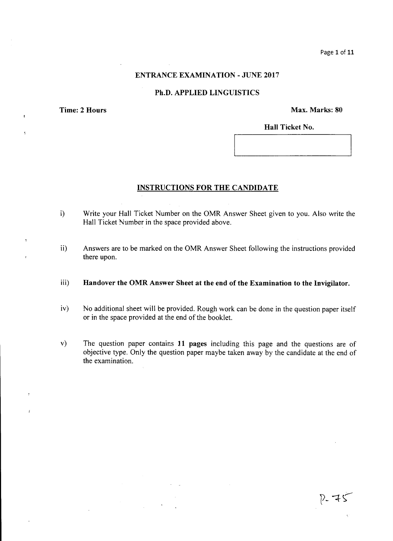## ENTRANCE EXAMINATION - JUNE 2017

### Ph.D. APPLIED LINGUISTICS

¥

 $\epsilon$ 

 $\overline{z}$ 

Time: 2 Hours Max. Marks: 80

Hall Ticket No.

#### INSTRUCTIONS FOR THE CANDIDATE

- i) Write your Hall Ticket Number on the OMR Answer Sheet given to you. Also write the Hall Ticket Number in the space provided above.
- ii) Answers are to be marked on the OMR Answer Sheet following the instructions provided there upon.
- iii) Handover the OMR Answer Sheet at the end of the Examination to the Invigilator.
- iv) No additional sheet will be provided. Rough work can be done in the question paper itself or in the space provided at the end of the booklet.
- v) The question paper contains 11 pages including this page and the questions are of objective type. Only the question paper maybe taken away by the candidate at the end of the examination.

 $7 - 75$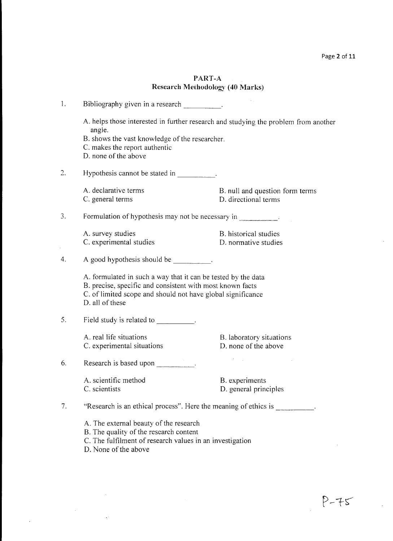$\hat{\mathcal{L}}$ 

# PART-A Research Methodology (40 Marks)

| 1. | Bibliography given in a research ___________.                                                                                                                                                                |                                                         |  |
|----|--------------------------------------------------------------------------------------------------------------------------------------------------------------------------------------------------------------|---------------------------------------------------------|--|
|    | A. helps those interested in further research and studying the problem from another<br>angle.<br>B. shows the vast knowledge of the researcher.<br>C. makes the report authentic<br>D. none of the above     |                                                         |  |
| 2. | Hypothesis cannot be stated in                                                                                                                                                                               |                                                         |  |
|    | A. declarative terms<br>C. general terms                                                                                                                                                                     | B. null and question form terms<br>D. directional terms |  |
| 3. | Formulation of hypothesis may not be necessary in ___________.                                                                                                                                               |                                                         |  |
|    | A. survey studies<br>C. experimental studies                                                                                                                                                                 | B. historical studies<br>D. normative studies           |  |
| 4. |                                                                                                                                                                                                              |                                                         |  |
|    | A. formulated in such a way that it can be tested by the data<br>B. precise, specific and consistent with most known facts<br>C. of limited scope and should not have global significance<br>D. all of these |                                                         |  |
| 5. | Field study is related to Field study is related to                                                                                                                                                          |                                                         |  |
|    | A. real life situations<br>C. experimental situations                                                                                                                                                        | B. laboratory situations<br>D. none of the above        |  |
| 6. | Research is based upon                                                                                                                                                                                       |                                                         |  |
|    | A. scientific method<br>C. scientists                                                                                                                                                                        | B. experiments<br>D. general principles                 |  |
| 7. | "Research is an ethical process". Here the meaning of ethics is                                                                                                                                              |                                                         |  |
|    | A. The external beauty of the research<br>B. The quality of the research content<br>C. The fulfilment of research values in an investigation<br>D. None of the above                                         |                                                         |  |

 $\sim$ 

 $\mathcal{O}(\mathbb{R}^n)$ 

 $\label{eq:2.1} \frac{1}{\sqrt{2}}\int_{\mathbb{R}^{2}}\left|\frac{d\mathbf{r}}{d\mathbf{r}}\right|^{2}d\mathbf{r}d\mathbf{r}$ 

 $\mathcal{L}^{\pm}$ 

 $\mathbb{R}^2$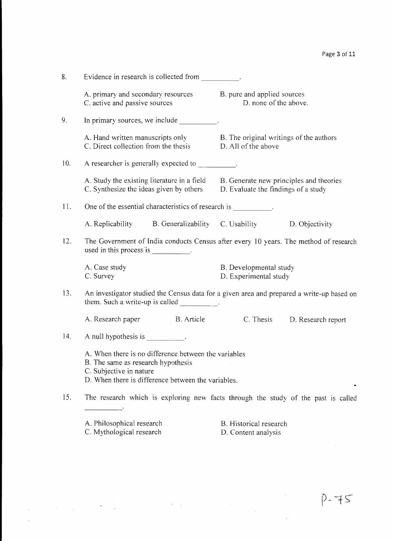| 8.  | Evidence in research is collected from _________.                                                                                                                           |                                                                |                              |  |  |
|-----|-----------------------------------------------------------------------------------------------------------------------------------------------------------------------------|----------------------------------------------------------------|------------------------------|--|--|
|     | A. primary and secondary resources B. pure and applied sources<br>C. active and passive sources                                                                             | D. none of the above.                                          |                              |  |  |
| 9.  | In primary sources, we include __________.                                                                                                                                  |                                                                |                              |  |  |
|     | A. Hand written manuscripts only<br>C. Direct collection from the thesis                                                                                                    | B. The original writings of the authors<br>D. All of the above |                              |  |  |
| 10. | A researcher is generally expected to __________.                                                                                                                           |                                                                |                              |  |  |
|     | A. Study the existing literature in a field B. Generate new principles and theories<br>C. Synthesize the ideas given by others                                              | D. Evaluate the findings of a study                            |                              |  |  |
| 11. | One of the essential characteristics of research is ___________.                                                                                                            |                                                                |                              |  |  |
|     | A. Replicability B. Generalizability C. Usability D. Objectivity                                                                                                            |                                                                |                              |  |  |
| 12. | The Government of India conducts Census after every 10 years. The method of research                                                                                        |                                                                |                              |  |  |
|     | A. Case study<br>C. Survey                                                                                                                                                  | B. Developmental study<br>D. Experimental study                |                              |  |  |
| 13. | An investigator studied the Census data for a given area and prepared a write-up based on<br>them. Such a write-up is called _________.                                     |                                                                |                              |  |  |
|     | A. Research paper B. Article                                                                                                                                                |                                                                | C. Thesis D. Research report |  |  |
| 14. | A null hypothesis is __________.                                                                                                                                            |                                                                |                              |  |  |
|     | A. When there is no difference between the variables<br>B. The same as research hypothesis<br>C. Subjective in nature<br>D. When there is difference between the variables. |                                                                |                              |  |  |
| 15. | The research which is exploring new facts through the study of the past is called                                                                                           |                                                                |                              |  |  |
|     | A. Philosophical research<br>C. Mythological research                                                                                                                       | B. Historical research<br>D. Content analysis                  |                              |  |  |

 $\label{eq:2} \begin{split} \mathcal{L}_{\text{max}}(\mathbf{r}) = \mathcal{L}_{\text{max}}(\mathbf{r}) \,, \end{split}$ 

l.

 $\label{eq:2} \frac{1}{\sqrt{2}}\left(\frac{1}{2}\right)^2$ 

 $\mathcal{O}(\mathcal{F}^{\mathcal{O}}_{\mathcal{O}}(n))$ 

 $\sim 10^{11}$ 

 $\ddot{\phantom{a}}$ 

 $\overline{a}$ 

 $\mathcal{L}_{\mathcal{A}}$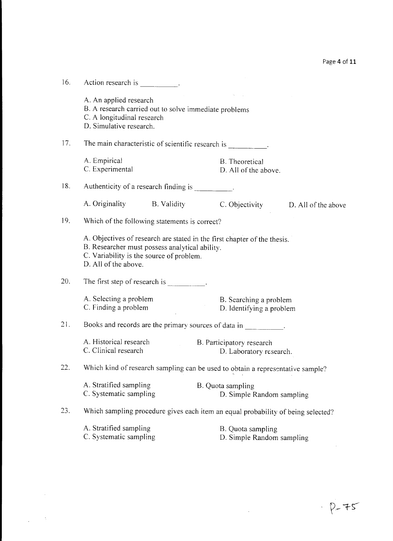| 16. | Action research is .                                                                                                                                                                           |                                                      |                                    |
|-----|------------------------------------------------------------------------------------------------------------------------------------------------------------------------------------------------|------------------------------------------------------|------------------------------------|
|     | A. An applied research<br>B. A research carried out to solve immediate problems<br>C. A longitudinal research<br>D. Simulative research.                                                       |                                                      |                                    |
| 17. | The main characteristic of scientific research is __________.                                                                                                                                  |                                                      |                                    |
|     | A. Empirical<br>C. Experimental                                                                                                                                                                | B. Theoretical<br>D. All of the above.               |                                    |
| 18. | Authenticity of a research finding is _________.                                                                                                                                               |                                                      |                                    |
|     | A. Originality B. Validity                                                                                                                                                                     |                                                      | C. Objectivity D. All of the above |
| 19. | Which of the following statements is correct?                                                                                                                                                  |                                                      |                                    |
|     | A. Objectives of research are stated in the first chapter of the thesis.<br>B. Researcher must possess analytical ability.<br>C. Variability is the source of problem.<br>D. All of the above. |                                                      |                                    |
| 20. | The first step of research is                                                                                                                                                                  |                                                      |                                    |
|     | A. Selecting a problem<br>C. Finding a problem                                                                                                                                                 | B. Searching a problem<br>D. Identifying a problem   |                                    |
| 21. | Books and records are the primary sources of data in                                                                                                                                           |                                                      |                                    |
|     | A. Historical research<br>C. Clinical research                                                                                                                                                 | B. Participatory research<br>D. Laboratory research. |                                    |
| 22. | Which kind of research sampling can be used to obtain a representative sample?                                                                                                                 |                                                      |                                    |
|     | A. Stratified sampling<br>C. Systematic sampling                                                                                                                                               | B. Quota sampling<br>D. Simple Random sampling       |                                    |
| 23. | Which sampling procedure gives each item an equal probability of being selected?                                                                                                               |                                                      |                                    |
|     | A. Stratified sampling<br>C. Systematic sampling                                                                                                                                               | B. Quota sampling<br>D. Simple Random sampling       |                                    |

 $\sim 10^{-1}$ 

 $\label{eq:2.1} \frac{1}{\sqrt{2}}\int_{\mathbb{R}^3}\frac{1}{\sqrt{2}}\left(\frac{1}{\sqrt{2}}\right)^2\frac{1}{\sqrt{2}}\left(\frac{1}{\sqrt{2}}\right)^2\frac{1}{\sqrt{2}}\left(\frac{1}{\sqrt{2}}\right)^2.$ 

 $\frac{1}{2} \left( \frac{1}{2} \right)$  ,  $\frac{1}{2} \left( \frac{1}{2} \right)$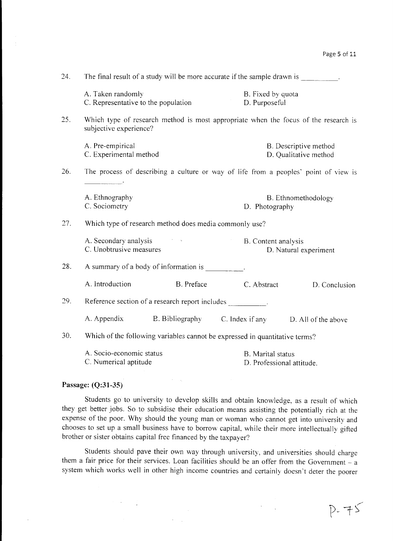$D - 75$ 

| 24. | The final result of a study will be more accurate if the sample drawn is    |                                                        |                                                                 |                                                                                     |
|-----|-----------------------------------------------------------------------------|--------------------------------------------------------|-----------------------------------------------------------------|-------------------------------------------------------------------------------------|
|     | A. Taken randomly<br>C. Representative to the population                    |                                                        | B. Fixed by quota<br>D. Purposeful                              |                                                                                     |
| 25. | subjective experience?                                                      |                                                        |                                                                 | Which type of research method is most appropriate when the focus of the research is |
|     | A. Pre-empirical<br>C. Experimental method                                  |                                                        |                                                                 | B. Descriptive method<br>D. Qualitative method                                      |
| 26. |                                                                             |                                                        |                                                                 | The process of describing a culture or way of life from a peoples' point of view is |
|     | A. Ethnography<br>C. Sociometry                                             |                                                        | D. Photography                                                  | B. Ethnomethodology                                                                 |
| 27. |                                                                             | Which type of research method does media commonly use? |                                                                 |                                                                                     |
|     | A. Secondary analysis<br>C. Unobtrusive measures                            |                                                        | B. Content analysis                                             | D. Natural experiment                                                               |
| 28. | A summary of a body of information is                                       |                                                        |                                                                 |                                                                                     |
|     | A. Introduction                                                             | B. Preface                                             | C. Abstract                                                     | D. Conclusion                                                                       |
| 29. | Reference section of a research report includes .                           |                                                        |                                                                 |                                                                                     |
|     |                                                                             |                                                        | A. Appendix B. Bibliography C. Index if any D. All of the above |                                                                                     |
| 30. | Which of the following variables cannot be expressed in quantitative terms? |                                                        |                                                                 |                                                                                     |
|     | A. Socio-economic status<br>C. Numerical aptitude                           |                                                        | <b>B.</b> Marital status<br>D. Professional attitude.           |                                                                                     |

#### **Passage: (Q:31-35)**

 $\sim$ 

Students go to university to develop skills and obtain knowledge, as a result of which they get better jobs. So to subsidise their education means assisting the potentially rich at the expense of the poor. Why should the young man or woman who cannot get into university and chooses to set up a small business have to borrow capital, while their more intellectually gifted brother or sister obtains capital free financed by the taxpayer?

Students should pave their own way through university, and universities should charge them a fair price for their services. Loan facilities should be an offer from the Government  $-$  a system which works well in other high income countries and certainly doesn't deter the poorer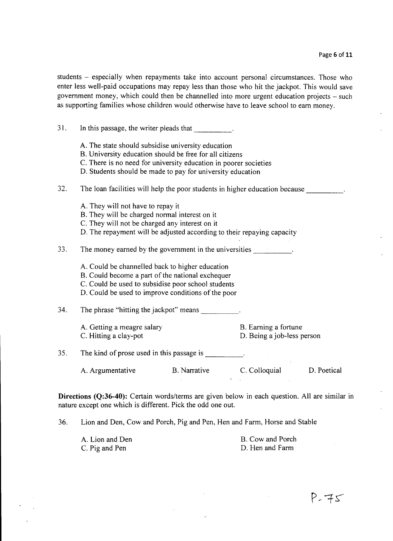students - especially when repayments take into account personal circumstances. Those who enter less well-paid occupations may repay less than those who hit the jackpot. This would save government money, which could then be channelled into more urgent education projects  $-$  such as supporting families whose children would otherwise have to leave school to earn money.

31. In this passage, the writer pleads that A. The state should subsidise university education B. University education should be free for all citizens C. There is no need for university education in poorer societies D. Students should be made to pay for university education 32. The loan facilities will help the poor students in higher education because A. They will not have to repay it B. They will be charged normal interest on it C. They wiIl not be charged any interest on it D. The repayment wiIl be adjusted according to their repaying capacity 33. The money earned by the government in the universities  $\blacksquare$ A. Could be channelled back to higher education B. Could become a part of the national exchequer C. Could be used to subsidise poor school students D. Could be used to improve conditions of the poor 34. The phrase "hitting the jackpot" means A. Getting a meagre salary B. Earning a fortune C. Hitting a clay-pot D. Being a job-less person 35. The kind of prose used in this passage is  $\qquad \qquad$ . A. Argumentative B. Narrative C. Colloquial D. Poetical  $\mathcal{L}^{\text{max}}$ 

**Directions (Q:36-40):** Certain words/terms are given below in each question. All are similar in nature except one which is different. Pick the odd one out.

36. Lion and Den, Cow and Porch, Pig and Pen, Hen and Farm, Horse and Stable

| A. Lion and Den | B. Cow and Porch |
|-----------------|------------------|
| C. Pig and Pen  | D. Hen and Farm  |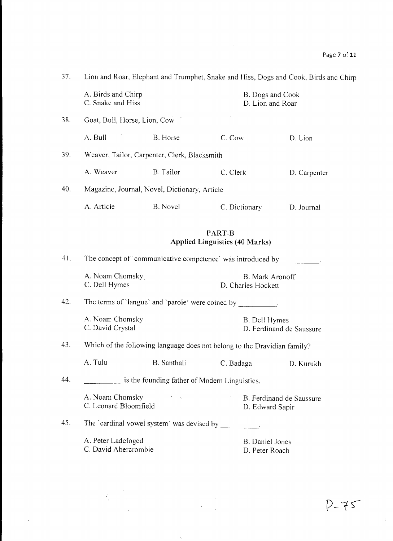| 37. | Lion and Roar, Elephant and Trumphet, Snake and Hiss, Dogs and Cook, Birds and Chirp |                                                                          |                                           |                                              |              |
|-----|--------------------------------------------------------------------------------------|--------------------------------------------------------------------------|-------------------------------------------|----------------------------------------------|--------------|
|     | A. Birds and Chirp<br>C. Snake and Hiss                                              |                                                                          |                                           | B. Dogs and Cook<br>D. Lion and Roar         |              |
| 38. | Goat, Bull, Horse, Lion, Cow                                                         |                                                                          |                                           |                                              |              |
|     | A. Bull                                                                              | B. Horse                                                                 | C. Cow                                    |                                              | D. Lion      |
| 39. | Weaver, Tailor, Carpenter, Clerk, Blacksmith                                         |                                                                          |                                           |                                              |              |
|     | A. Weaver                                                                            | B. Tailor                                                                | C. Clerk                                  |                                              | D. Carpenter |
| 40. |                                                                                      | Magazine, Journal, Novel, Dictionary, Article                            |                                           |                                              |              |
|     | A. Article                                                                           | B. Novel                                                                 |                                           | C. Dictionary                                | D. Journal   |
|     |                                                                                      | <b>Applied Linguistics (40 Marks)</b>                                    | PART-B                                    |                                              |              |
| 41. | The concept of 'communicative competence' was introduced by _________.               |                                                                          |                                           |                                              |              |
|     | A. Noam Chomsky<br>C. Dell Hymes                                                     |                                                                          |                                           | <b>B.</b> Mark Aronoff<br>D. Charles Hockett |              |
| 42. |                                                                                      | The terms of 'langue' and 'parole' were coined by ___________.           |                                           |                                              |              |
|     | A. Noam Chomsky<br>C. David Crystal                                                  |                                                                          | B. Dell Hymes<br>D. Ferdinand de Saussure |                                              |              |
| 43. |                                                                                      | Which of the following language does not belong to the Dravidian family? |                                           |                                              |              |
|     | A. Tulu                                                                              | B. Santhali                                                              | C. Badaga                                 |                                              | D. Kurukh    |
| 44. |                                                                                      | is the founding father of Modern Linguistics.                            |                                           |                                              |              |
|     | A. Noam Chomsky<br>C. Leonard Bloomfield                                             | <b>Controller</b>                                                        |                                           | B. Ferdinand de Saussure<br>D. Edward Sapir  |              |
| 45. |                                                                                      | The 'cardinal vowel system' was devised by __________.                   |                                           |                                              |              |
|     | A. Peter Ladefoged<br>C. David Abercrombie                                           |                                                                          |                                           | <b>B.</b> Daniel Jones<br>D. Peter Roach     |              |

 $\frac{1}{\sqrt{2}}$ 

 $\gamma^{\prime}$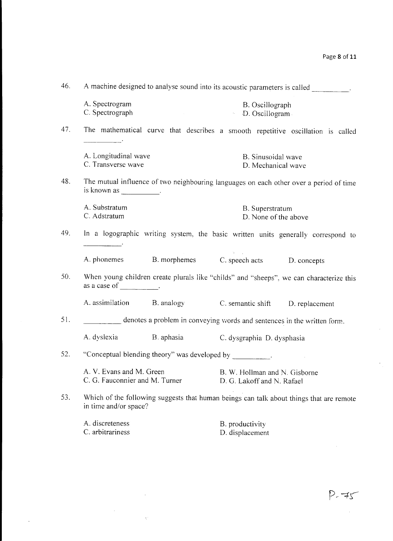| 46. | A machine designed to analyse sound into its acoustic parameters is called _________.                                                       |                                                                         |                                                             |                                                                                 |
|-----|---------------------------------------------------------------------------------------------------------------------------------------------|-------------------------------------------------------------------------|-------------------------------------------------------------|---------------------------------------------------------------------------------|
|     | A. Spectrogram<br>C. Spectrograph                                                                                                           |                                                                         | B. Oscillograph<br>• D. Oscillogram                         |                                                                                 |
| 47. |                                                                                                                                             |                                                                         |                                                             | The mathematical curve that describes a smooth repetitive oscillation is called |
|     | A. Longitudinal wave<br>C. Transverse wave                                                                                                  |                                                                         | B. Sinusoidal wave<br>D. Mechanical wave                    |                                                                                 |
| 48. | The mutual influence of two neighbouring languages on each other over a period of time<br>is known as $\frac{1}{\sqrt{1-\frac{1}{2}}}\cdot$ |                                                                         |                                                             |                                                                                 |
|     | A. Substratum<br>C. Adstratum                                                                                                               |                                                                         | B. Superstratum<br>D. None of the above                     |                                                                                 |
| 49. | In a logographic writing system, the basic written units generally correspond to                                                            |                                                                         |                                                             |                                                                                 |
|     |                                                                                                                                             | A. phonemes B. morphemes C. speech acts D. concepts                     |                                                             |                                                                                 |
| 50. | When young children create plurals like "childs" and "sheeps", we can characterize this<br>as a case of $\qquad \qquad$ .                   |                                                                         |                                                             |                                                                                 |
|     |                                                                                                                                             | A. assimilation B. analogy                                              | C. semantic shift D. replacement                            |                                                                                 |
| 51. |                                                                                                                                             | denotes a problem in conveying words and sentences in the written form. |                                                             |                                                                                 |
|     |                                                                                                                                             | A. dyslexia B. aphasia                                                  | C. dysgraphia D. dysphasia                                  |                                                                                 |
| 52. |                                                                                                                                             | "Conceptual blending theory" was developed by __________.               |                                                             |                                                                                 |
|     | A. V. Evans and M. Green<br>C. G. Fauconnier and M. Turner                                                                                  |                                                                         | B. W. Hollman and N. Gisborne<br>D. G. Lakoff and N. Rafael |                                                                                 |
| 53. | Which of the following suggests that human beings can talk about things that are remote<br>in time and/or space?                            |                                                                         |                                                             |                                                                                 |
|     | A. discreteness<br>C. arbitrariness                                                                                                         |                                                                         | B. productivity<br>D. displacement                          |                                                                                 |

 $\hat{\mathcal{L}}$ 

 $\hat{\gamma}$ 

 $\hat{\mathcal{A}}$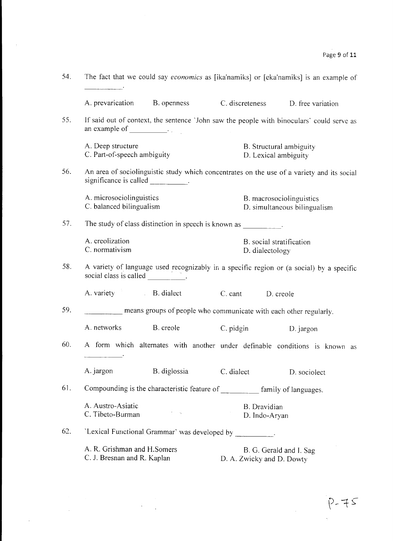| 54. | The fact that we could say economics as [ika'namiks] or [eka'namiks] is an example of                                                                                                                                                                                                                                                                                                                                                                                                                     |                                                                                           |  |
|-----|-----------------------------------------------------------------------------------------------------------------------------------------------------------------------------------------------------------------------------------------------------------------------------------------------------------------------------------------------------------------------------------------------------------------------------------------------------------------------------------------------------------|-------------------------------------------------------------------------------------------|--|
|     | A. prevarication B. openness                                                                                                                                                                                                                                                                                                                                                                                                                                                                              | C. discreteness D. free variation                                                         |  |
| 55. | an example of $\qquad \qquad$                                                                                                                                                                                                                                                                                                                                                                                                                                                                             | If said out of context, the sentence 'John saw the people with binoculars' could serve as |  |
|     | A. Deep structure<br>C. Part-of-speech ambiguity                                                                                                                                                                                                                                                                                                                                                                                                                                                          | B. Structural ambiguity<br>D. Lexical ambiguity                                           |  |
| 56. | An area of sociolinguistic study which concentrates on the use of a variety and its social                                                                                                                                                                                                                                                                                                                                                                                                                |                                                                                           |  |
|     | A. microsociolinguistics<br>C. balanced bilingualism                                                                                                                                                                                                                                                                                                                                                                                                                                                      | B. macrosociolinguistics<br>D. simultaneous bilingualism                                  |  |
| 57. | The study of class distinction in speech is known as _________.                                                                                                                                                                                                                                                                                                                                                                                                                                           |                                                                                           |  |
|     | A. creolization<br>C. normativism                                                                                                                                                                                                                                                                                                                                                                                                                                                                         | B. social stratification<br>D. dialectology                                               |  |
| 58. | A variety of language used recognizably in a specific region or (a social) by a specific<br>social class is called $\frac{1}{\sqrt{1-\frac{1}{\sqrt{1-\frac{1}{\sqrt{1-\frac{1}{\sqrt{1-\frac{1}{\sqrt{1-\frac{1}{\sqrt{1-\frac{1}{\sqrt{1-\frac{1}{\sqrt{1-\frac{1}{\sqrt{1-\frac{1}{\sqrt{1-\frac{1}{\sqrt{1-\frac{1}{\sqrt{1-\frac{1}{\sqrt{1-\frac{1}{\sqrt{1-\frac{1}{\sqrt{1-\frac{1}{\sqrt{1-\frac{1}{\sqrt{1-\frac{1}{\sqrt{1-\frac{1}{\sqrt{1-\frac{1}{\sqrt{1-\frac{1}{\sqrt{1-\frac{1}{\sqrt{$ |                                                                                           |  |
|     | A. variety B. dialect                                                                                                                                                                                                                                                                                                                                                                                                                                                                                     | C. cant D. creole                                                                         |  |
| 59. |                                                                                                                                                                                                                                                                                                                                                                                                                                                                                                           | means groups of people who communicate with each other regularly.                         |  |
|     | A. networks<br>B. creole                                                                                                                                                                                                                                                                                                                                                                                                                                                                                  | C. pidgin<br>D. jargon                                                                    |  |
| 60. |                                                                                                                                                                                                                                                                                                                                                                                                                                                                                                           | A form which alternates with another under definable conditions is known as               |  |
|     | A. jargon<br>B. diglossia                                                                                                                                                                                                                                                                                                                                                                                                                                                                                 | C. dialect<br>D. sociolect                                                                |  |
| 61. |                                                                                                                                                                                                                                                                                                                                                                                                                                                                                                           | Compounding is the characteristic feature of ___________ family of languages.             |  |
|     | A. Austro-Asiatic<br>ti il su<br>C. Tibeto-Burman                                                                                                                                                                                                                                                                                                                                                                                                                                                         | B. Dravidian<br>D. Indo-Aryan                                                             |  |
| 62. | 'Lexical Functional Grammar' was developed by ___________.                                                                                                                                                                                                                                                                                                                                                                                                                                                |                                                                                           |  |
|     | A. R. Grishman and H.Somers<br>C. J. Bresnan and R. Kaplan                                                                                                                                                                                                                                                                                                                                                                                                                                                | B. G. Gerald and I. Sag<br>D. A. Zwicky and D. Dowty                                      |  |

 $\sim 10^{-1}$ 

 $\mathcal{L}^{\text{max}}_{\text{max}}$ 

 $\mathcal{L}^{\text{max}}$ 

 $P-75$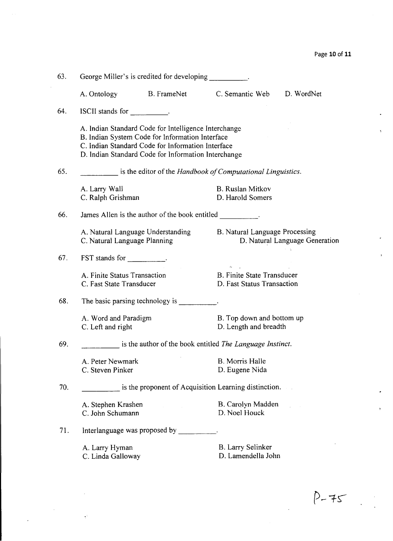$P-75$ 

| 63. | George Miller's is credited for developing __________.                                                                                                                                                              |                                                           |                                                                 |                                |  |
|-----|---------------------------------------------------------------------------------------------------------------------------------------------------------------------------------------------------------------------|-----------------------------------------------------------|-----------------------------------------------------------------|--------------------------------|--|
|     | A. Ontology                                                                                                                                                                                                         | B. FrameNet                                               | C. Semantic Web D. WordNet                                      |                                |  |
| 64. | ISCII stands for TSCII stands for                                                                                                                                                                                   |                                                           |                                                                 |                                |  |
|     | A. Indian Standard Code for Intelligence Interchange<br>B. Indian System Code for Information Interface<br>C. Indian Standard Code for Information Interface<br>D. Indian Standard Code for Information Interchange |                                                           |                                                                 |                                |  |
| 65. | is the editor of the <i>Handbook of Computational Linguistics</i> .                                                                                                                                                 |                                                           |                                                                 |                                |  |
|     | A. Larry Wall<br>C. Ralph Grishman                                                                                                                                                                                  |                                                           | <b>B.</b> Ruslan Mitkov<br>D. Harold Somers                     |                                |  |
| 66. |                                                                                                                                                                                                                     | James Allen is the author of the book entitled .          |                                                                 |                                |  |
|     | C. Natural Language Planning                                                                                                                                                                                        | A. Natural Language Understanding                         | B. Natural Language Processing                                  | D. Natural Language Generation |  |
| 67. | FST stands for $\qquad \qquad \ldots$                                                                                                                                                                               |                                                           |                                                                 |                                |  |
|     | A. Finite Status Transaction<br>C. Fast State Transducer                                                                                                                                                            |                                                           | <b>B. Finite State Transducer</b><br>D. Fast Status Transaction |                                |  |
| 68. |                                                                                                                                                                                                                     | The basic parsing technology is                           |                                                                 |                                |  |
|     | A. Word and Paradigm<br>C. Left and right                                                                                                                                                                           |                                                           | B. Top down and bottom up<br>D. Length and breadth              |                                |  |
| 69. |                                                                                                                                                                                                                     | is the author of the book entitled The Language Instinct. |                                                                 |                                |  |
|     | A. Peter Newmark<br>C. Steven Pinker                                                                                                                                                                                |                                                           | <b>B.</b> Morris Halle<br>D. Eugene Nida                        |                                |  |
| 70. |                                                                                                                                                                                                                     | is the proponent of Acquisition Learning distinction.     |                                                                 |                                |  |
|     | A. Stephen Krashen<br>C. John Schumann                                                                                                                                                                              |                                                           | B. Carolyn Madden<br>D. Noel Houck                              |                                |  |
| 71. | Interlanguage was proposed by __________.                                                                                                                                                                           |                                                           |                                                                 |                                |  |
|     | A. Larry Hyman<br>C. Linda Galloway                                                                                                                                                                                 |                                                           | B. Larry Selinker<br>D. Lamendella John                         |                                |  |